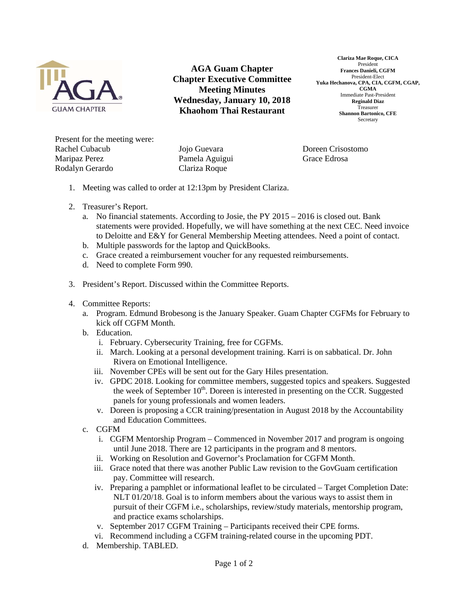

**AGA Guam Chapter Chapter Executive Committee Meeting Minutes Wednesday, January 10, 2018 Khaohom Thai Restaurant** 

**Clariza Mae Roque, CICA**  President **Frances Danieli, CGFM**  President-Elect **Yuka Hechanova, CPA, CIA, CGFM, CGAP, CGMA**  Immediate Past-President **Reginald Diaz**  Treasurer **Shannon Bartonico, CFE**  Secretary

Present for the meeting were: Rachel Cubacub Maripaz Perez Rodalyn Gerardo

Jojo Guevara Pamela Aguigui Clariza Roque

Doreen Crisostomo Grace Edrosa

- 1. Meeting was called to order at 12:13pm by President Clariza.
- 2. Treasurer's Report.
	- a. No financial statements. According to Josie, the PY 2015 2016 is closed out. Bank statements were provided. Hopefully, we will have something at the next CEC. Need invoice to Deloitte and E&Y for General Membership Meeting attendees. Need a point of contact.
	- b. Multiple passwords for the laptop and QuickBooks.
	- c. Grace created a reimbursement voucher for any requested reimbursements.
	- d. Need to complete Form 990.
- 3. President's Report. Discussed within the Committee Reports.
- 4. Committee Reports:
	- a. Program. Edmund Brobesong is the January Speaker. Guam Chapter CGFMs for February to kick off CGFM Month.
	- b. Education.
		- i. February. Cybersecurity Training, free for CGFMs.
		- ii. March. Looking at a personal development training. Karri is on sabbatical. Dr. John Rivera on Emotional Intelligence.
		- iii. November CPEs will be sent out for the Gary Hiles presentation.
		- iv. GPDC 2018. Looking for committee members, suggested topics and speakers. Suggested the week of September  $10<sup>th</sup>$ . Doreen is interested in presenting on the CCR. Suggested panels for young professionals and women leaders.
		- v. Doreen is proposing a CCR training/presentation in August 2018 by the Accountability and Education Committees.
	- c. CGFM
		- i. CGFM Mentorship Program Commenced in November 2017 and program is ongoing until June 2018. There are 12 participants in the program and 8 mentors.
		- ii. Working on Resolution and Governor's Proclamation for CGFM Month.
		- iii. Grace noted that there was another Public Law revision to the GovGuam certification pay. Committee will research.
		- iv. Preparing a pamphlet or informational leaflet to be circulated Target Completion Date: NLT 01/20/18. Goal is to inform members about the various ways to assist them in pursuit of their CGFM i.e., scholarships, review/study materials, mentorship program, and practice exams scholarships.
		- v. September 2017 CGFM Training Participants received their CPE forms.
		- vi. Recommend including a CGFM training-related course in the upcoming PDT.
	- d. Membership. TABLED.